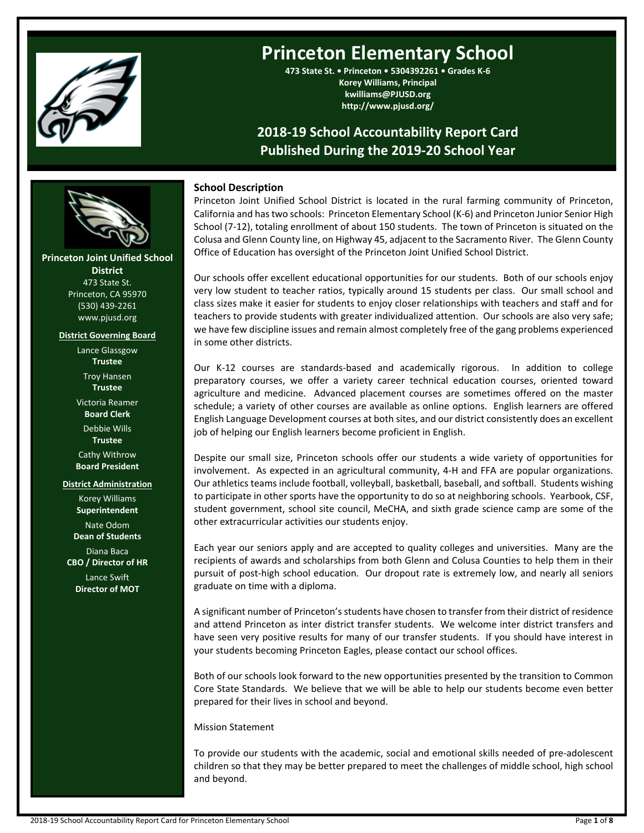

# **Princeton Elementary School**

**473 State St. • Princeton • 5304392261 • Grades K-6 Korey Williams, Principal kwilliams@PJUSD.org http://www.pjusd.org/**

## **2018-19 School Accountability Report Card Published During the 2019-20 School Year**

## **School Description**

Princeton Joint Unified School District is located in the rural farming community of Princeton, California and hastwo schools: Princeton Elementary School (K-6) and Princeton Junior Senior High School (7-12), totaling enrollment of about 150 students. The town of Princeton is situated on the Colusa and Glenn County line, on Highway 45, adjacent to the Sacramento River. The Glenn County Office of Education has oversight of the Princeton Joint Unified School District.

Our schools offer excellent educational opportunities for our students. Both of our schools enjoy very low student to teacher ratios, typically around 15 students per class. Our small school and class sizes make it easier for students to enjoy closer relationships with teachers and staff and for teachers to provide students with greater individualized attention. Our schools are also very safe; we have few discipline issues and remain almost completely free of the gang problems experienced in some other districts.

Our K-12 courses are standards-based and academically rigorous. In addition to college preparatory courses, we offer a variety career technical education courses, oriented toward agriculture and medicine. Advanced placement courses are sometimes offered on the master schedule; a variety of other courses are available as online options. English learners are offered English Language Development courses at both sites, and our district consistently does an excellent job of helping our English learners become proficient in English.

Despite our small size, Princeton schools offer our students a wide variety of opportunities for involvement. As expected in an agricultural community, 4-H and FFA are popular organizations. Our athletics teams include football, volleyball, basketball, baseball, and softball. Students wishing to participate in other sports have the opportunity to do so at neighboring schools. Yearbook, CSF, student government, school site council, MeCHA, and sixth grade science camp are some of the other extracurricular activities our students enjoy.

Each year our seniors apply and are accepted to quality colleges and universities. Many are the recipients of awards and scholarships from both Glenn and Colusa Counties to help them in their pursuit of post-high school education. Our dropout rate is extremely low, and nearly all seniors graduate on time with a diploma.

A significant number of Princeton'sstudents have chosen to transfer from their district of residence and attend Princeton as inter district transfer students. We welcome inter district transfers and have seen very positive results for many of our transfer students. If you should have interest in your students becoming Princeton Eagles, please contact our school offices.

Both of our schools look forward to the new opportunities presented by the transition to Common Core State Standards. We believe that we will be able to help our students become even better prepared for their lives in school and beyond.

Mission Statement

To provide our students with the academic, social and emotional skills needed of pre-adolescent children so that they may be better prepared to meet the challenges of middle school, high school and beyond.



#### **District Governing Board**

Lance Glassgow **Trustee** Troy Hansen **Trustee** Victoria Reamer **Board Clerk** Debbie Wills **Trustee** Cathy Withrow **Board President**

## **District Administration**

Korey Williams **Superintendent** Nate Odom **Dean of Students** Diana Baca **CBO / Director of HR** Lance Swift **Director of MOT**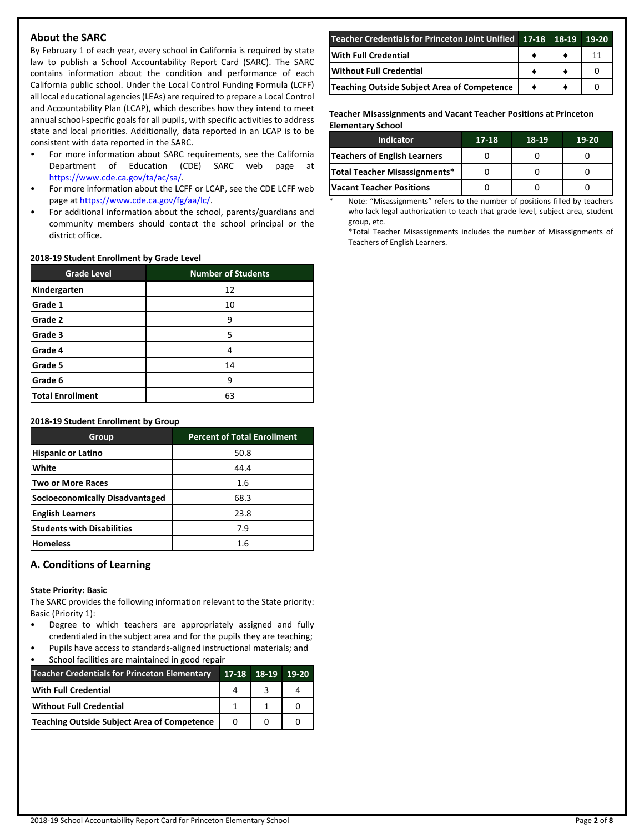## **About the SARC**

By February 1 of each year, every school in California is required by state law to publish a School Accountability Report Card (SARC). The SARC contains information about the condition and performance of each California public school. Under the Local Control Funding Formula (LCFF) all local educational agencies(LEAs) are required to prepare a Local Control and Accountability Plan (LCAP), which describes how they intend to meet annual school-specific goals for all pupils, with specific activities to address state and local priorities. Additionally, data reported in an LCAP is to be consistent with data reported in the SARC.

- For more information about SARC requirements, see the California Department of Education (CDE) SARC web page at [https://www.cde.ca.gov/ta/ac/sa/.](https://www.cde.ca.gov/ta/ac/sa/)
- For more information about the LCFF or LCAP, see the CDE LCFF web page at [https://www.cde.ca.gov/fg/aa/lc/.](https://www.cde.ca.gov/fg/aa/lc/)
- For additional information about the school, parents/guardians and community members should contact the school principal or the district office.

#### **2018-19 Student Enrollment by Grade Level**

| <b>Grade Level</b> | <b>Number of Students</b> |
|--------------------|---------------------------|
| Kindergarten       | 12                        |
| Grade 1            | 10                        |
| Grade 2            | 9                         |
| Grade 3            | 5                         |
| Grade 4            | 4                         |
| Grade 5            | 14                        |
| Grade 6            | 9                         |
| Total Enrollment   | 63                        |

#### **2018-19 Student Enrollment by Group**

| Group                             | <b>Percent of Total Enrollment</b> |
|-----------------------------------|------------------------------------|
| <b>Hispanic or Latino</b>         | 50.8                               |
| White                             | 44.4                               |
| lTwo or More Races                | $1.6\,$                            |
| Socioeconomically Disadvantaged   | 68.3                               |
| <b>English Learners</b>           | 23.8                               |
| <b>Students with Disabilities</b> | 7.9                                |
| <b>Homeless</b>                   | 1.6                                |

## **A. Conditions of Learning**

#### **State Priority: Basic**

The SARC provides the following information relevant to the State priority: Basic (Priority 1):

- Degree to which teachers are appropriately assigned and fully credentialed in the subject area and for the pupils they are teaching;
- Pupils have access to standards-aligned instructional materials; and School facilities are maintained in good repair

| <b>Teacher Credentials for Princeton Elementary</b> | $17-18$ 18-19 | 19-20 |
|-----------------------------------------------------|---------------|-------|
| With Full Credential                                |               |       |
| Without Full Credential                             |               |       |
| Teaching Outside Subject Area of Competence         | $\Omega$      |       |

| Teacher Credentials for Princeton Joint Unified 17-18 18-19 19-20 |  |  |
|-------------------------------------------------------------------|--|--|
| <b>IWith Full Credential</b>                                      |  |  |
| <b>Without Full Credential</b>                                    |  |  |
| Teaching Outside Subject Area of Competence                       |  |  |

**Teacher Misassignments and Vacant Teacher Positions at Princeton Elementary School**

| Indicator                       | 17-18 | 18-19 | 19-20 |
|---------------------------------|-------|-------|-------|
| Teachers of English Learners    |       |       |       |
| Total Teacher Misassignments*   |       |       |       |
| <b>Vacant Teacher Positions</b> |       |       |       |

Note: "Misassignments" refers to the number of positions filled by teachers who lack legal authorization to teach that grade level, subject area, student group, etc.

\*Total Teacher Misassignments includes the number of Misassignments of Teachers of English Learners.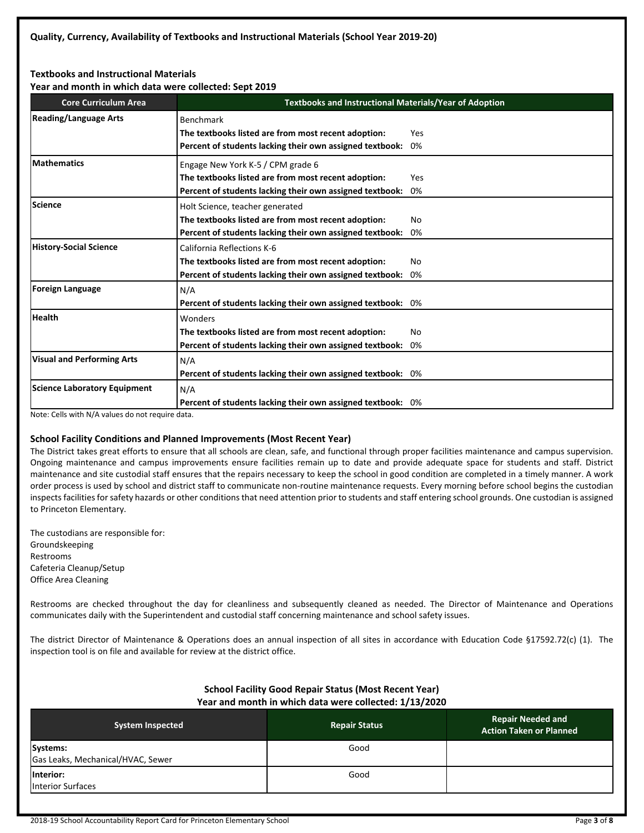#### **Textbooks and Instructional Materials**

**Year and month in which data were collected: Sept 2019**

| <b>Core Curriculum Area</b>                                                                                                      | <b>Textbooks and Instructional Materials/Year of Adoption</b>                                                                                        |           |  |  |
|----------------------------------------------------------------------------------------------------------------------------------|------------------------------------------------------------------------------------------------------------------------------------------------------|-----------|--|--|
| <b>Reading/Language Arts</b>                                                                                                     | <b>Benchmark</b><br>The textbooks listed are from most recent adoption:<br>Percent of students lacking their own assigned textbook:                  | Yes<br>0% |  |  |
| <b>Mathematics</b>                                                                                                               | Engage New York K-5 / CPM grade 6<br>The textbooks listed are from most recent adoption:<br>Percent of students lacking their own assigned textbook: | Yes<br>0% |  |  |
| <b>Science</b>                                                                                                                   | Holt Science, teacher generated<br>The textbooks listed are from most recent adoption:<br>Percent of students lacking their own assigned textbook:   | No.<br>0% |  |  |
| <b>History-Social Science</b>                                                                                                    | California Reflections K-6<br>The textbooks listed are from most recent adoption:<br>Percent of students lacking their own assigned textbook:        | No<br>0%  |  |  |
| <b>Foreign Language</b>                                                                                                          | N/A<br>Percent of students lacking their own assigned textbook: 0%                                                                                   |           |  |  |
| <b>Health</b>                                                                                                                    | Wonders<br>The textbooks listed are from most recent adoption:<br>Percent of students lacking their own assigned textbook:                           | No<br>0%  |  |  |
| <b>Visual and Performing Arts</b>                                                                                                | N/A<br>Percent of students lacking their own assigned textbook: 0%                                                                                   |           |  |  |
| <b>Science Laboratory Equipment</b><br>$\mathbf{r} = \mathbf{r} \cdot \mathbf{r}$ and $\mathbf{r} = \mathbf{r} \cdot \mathbf{r}$ | N/A<br>Percent of students lacking their own assigned textbook: 0%                                                                                   |           |  |  |

Note: Cells with N/A values do not require data.

#### **School Facility Conditions and Planned Improvements (Most Recent Year)**

The District takes great efforts to ensure that all schools are clean, safe, and functional through proper facilities maintenance and campus supervision. Ongoing maintenance and campus improvements ensure facilities remain up to date and provide adequate space for students and staff. District maintenance and site custodial staff ensures that the repairs necessary to keep the school in good condition are completed in a timely manner. A work order process is used by school and district staff to communicate non-routine maintenance requests. Every morning before school begins the custodian inspects facilities for safety hazards or other conditions that need attention prior to students and staff entering school grounds. One custodian is assigned to Princeton Elementary.

The custodians are responsible for: Groundskeeping Restrooms Cafeteria Cleanup/Setup Office Area Cleaning

Restrooms are checked throughout the day for cleanliness and subsequently cleaned as needed. The Director of Maintenance and Operations communicates daily with the Superintendent and custodial staff concerning maintenance and school safety issues.

The district Director of Maintenance & Operations does an annual inspection of all sites in accordance with Education Code §17592.72(c) (1). The inspection tool is on file and available for review at the district office.

#### **School Facility Good Repair Status (Most Recent Year) Year and month in which data were collected: 1/13/2020**

| <b>System Inspected</b>                       | <b>Repair Status</b> | <b>Repair Needed and</b><br><b>Action Taken or Planned</b> |
|-----------------------------------------------|----------------------|------------------------------------------------------------|
| Systems:<br>Gas Leaks, Mechanical/HVAC, Sewer | Good                 |                                                            |
| Interior:<br><b>Interior Surfaces</b>         | Good                 |                                                            |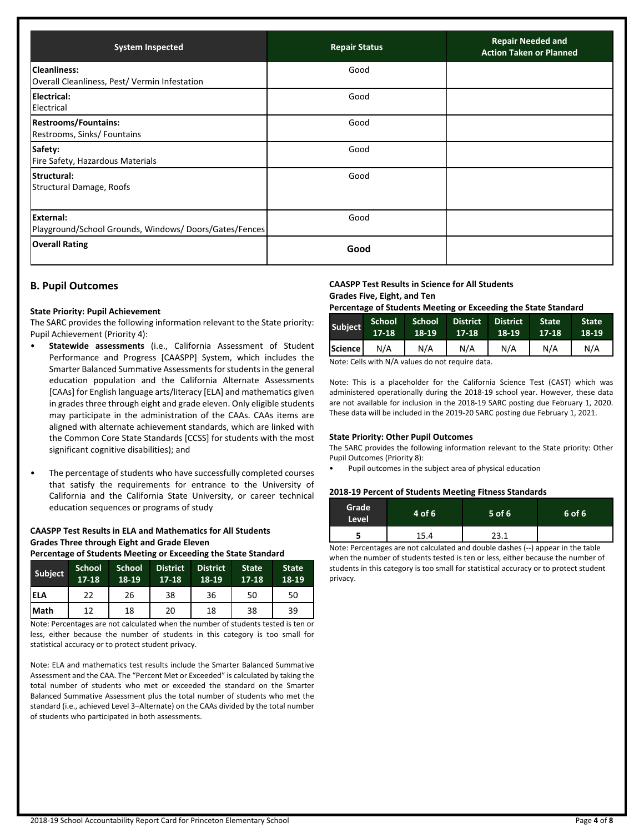| <b>System Inspected</b>                                             | <b>Repair Status</b> | <b>Repair Needed and</b><br><b>Action Taken or Planned</b> |
|---------------------------------------------------------------------|----------------------|------------------------------------------------------------|
| <b>Cleanliness:</b><br>Overall Cleanliness, Pest/Vermin Infestation | Good                 |                                                            |
| <b>IElectrical:</b><br>Electrical                                   | Good                 |                                                            |
| <b>Restrooms/Fountains:</b><br>Restrooms, Sinks/Fountains           | Good                 |                                                            |
| Safety:<br>Fire Safety, Hazardous Materials                         | Good                 |                                                            |
| <b>Structural:</b><br>Structural Damage, Roofs                      | Good                 |                                                            |
| External:<br>Playground/School Grounds, Windows/Doors/Gates/Fences  | Good                 |                                                            |
| <b>Overall Rating</b>                                               | Good                 |                                                            |

## **B. Pupil Outcomes**

#### **State Priority: Pupil Achievement**

The SARC provides the following information relevant to the State priority: Pupil Achievement (Priority 4):

- **Statewide assessments** (i.e., California Assessment of Student Performance and Progress [CAASPP] System, which includes the Smarter Balanced Summative Assessments for students in the general education population and the California Alternate Assessments [CAAs] for English language arts/literacy [ELA] and mathematics given in grades three through eight and grade eleven. Only eligible students may participate in the administration of the CAAs. CAAs items are aligned with alternate achievement standards, which are linked with the Common Core State Standards [CCSS] for students with the most significant cognitive disabilities); and
- The percentage of students who have successfully completed courses that satisfy the requirements for entrance to the University of California and the California State University, or career technical education sequences or programs of study

## **CAASPP Test Results in ELA and Mathematics for All Students Grades Three through Eight and Grade Eleven**

**Percentage of Students Meeting or Exceeding the State Standard**

| Subject      | <b>School</b><br>$17-18$ | <b>School</b><br>18-19 | <b>District</b><br>$17-18$ | <b>District</b><br>18-19 | <b>State</b><br>17-18 | <b>State</b><br>18-19 |
|--------------|--------------------------|------------------------|----------------------------|--------------------------|-----------------------|-----------------------|
| <b>IELA</b>  | 22                       | 26                     | 38                         | 36                       | 50                    | 50                    |
| <b>IMath</b> | 12                       | 18                     | 20                         | 18                       | 38                    | 39                    |

Note: Percentages are not calculated when the number of students tested is ten or less, either because the number of students in this category is too small for statistical accuracy or to protect student privacy.

Note: ELA and mathematics test results include the Smarter Balanced Summative Assessment and the CAA. The "Percent Met or Exceeded" is calculated by taking the total number of students who met or exceeded the standard on the Smarter Balanced Summative Assessment plus the total number of students who met the standard (i.e., achieved Level 3–Alternate) on the CAAs divided by the total number of students who participated in both assessments.

## **CAASPP Test Results in Science for All Students Grades Five, Eight, and Ten**

## **Percentage of Students Meeting or Exceeding the State Standard**

| Subject | School<br>$17-18$ | 18-19 | School District District<br>17-18 | 18-19 | <b>State</b><br>$17-18$ | <b>State</b><br>18-19 |
|---------|-------------------|-------|-----------------------------------|-------|-------------------------|-----------------------|
| Science | N/A               | N/A   | N/A                               | N/A   | N/A                     | N/A                   |

Note: Cells with N/A values do not require data.

Note: This is a placeholder for the California Science Test (CAST) which was administered operationally during the 2018-19 school year. However, these data are not available for inclusion in the 2018-19 SARC posting due February 1, 2020. These data will be included in the 2019-20 SARC posting due February 1, 2021.

#### **State Priority: Other Pupil Outcomes**

The SARC provides the following information relevant to the State priority: Other Pupil Outcomes (Priority 8):

• Pupil outcomes in the subject area of physical education

#### **2018-19 Percent of Students Meeting Fitness Standards**

| Grade<br><b>Level</b> | 4 of 6 | $5$ of 6 | 6 of 6 |
|-----------------------|--------|----------|--------|
|                       | 15.4   | 23.1     |        |

Note: Percentages are not calculated and double dashes (--) appear in the table when the number of students tested is ten or less, either because the number of students in this category is too small for statistical accuracy or to protect student privacy.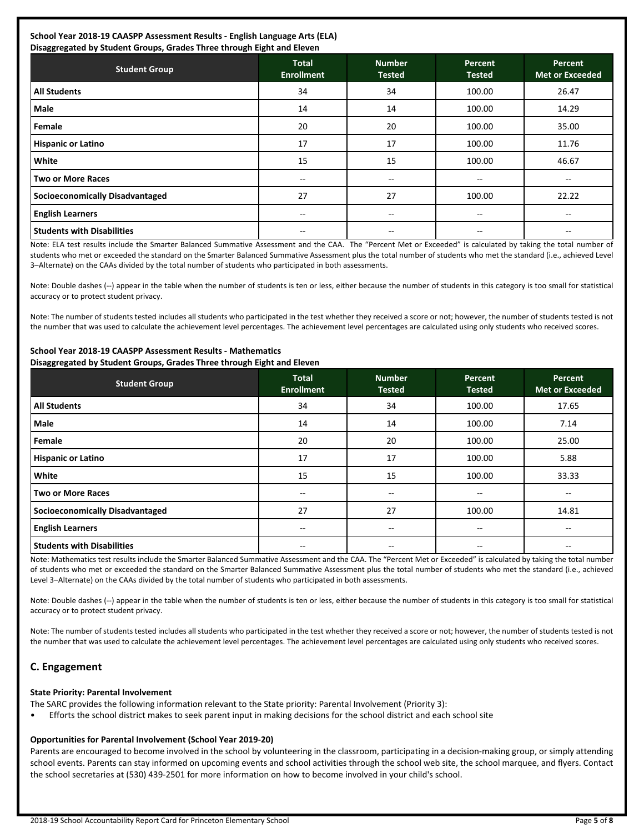#### **School Year 2018-19 CAASPP Assessment Results - English Language Arts (ELA) Disaggregated by Student Groups, Grades Three through Eight and Eleven**

| Disaggregated by Student Groups, Grades Three through Eight and Eleven |                                   |                                |                          |                                   |  |  |
|------------------------------------------------------------------------|-----------------------------------|--------------------------------|--------------------------|-----------------------------------|--|--|
| <b>Student Group</b>                                                   | <b>Total</b><br><b>Enrollment</b> | <b>Number</b><br><b>Tested</b> | Percent<br><b>Tested</b> | Percent<br><b>Met or Exceeded</b> |  |  |
| <b>All Students</b>                                                    | 34                                | 34                             | 100.00                   | 26.47                             |  |  |
| Male                                                                   | 14                                | 14                             | 100.00                   | 14.29                             |  |  |
| <b>Female</b>                                                          | 20                                | 20                             | 100.00                   | 35.00                             |  |  |
| <b>Hispanic or Latino</b>                                              | 17                                | 17                             | 100.00                   | 11.76                             |  |  |
| White                                                                  | 15                                | 15                             | 100.00                   | 46.67                             |  |  |
| Two or More Races                                                      | $-$                               | $- -$                          | --                       | $- -$                             |  |  |
| Socioeconomically Disadvantaged                                        | 27                                | 27                             | 100.00                   | 22.22                             |  |  |
| <b>English Learners</b>                                                | $- -$                             | $- -$                          | $- -$                    | $-$                               |  |  |
| l Students with Disabilities                                           |                                   | --                             | $- -$                    |                                   |  |  |

Note: ELA test results include the Smarter Balanced Summative Assessment and the CAA. The "Percent Met or Exceeded" is calculated by taking the total number of students who met or exceeded the standard on the Smarter Balanced Summative Assessment plus the total number of students who met the standard (i.e., achieved Level 3–Alternate) on the CAAs divided by the total number of students who participated in both assessments.

Note: Double dashes (--) appear in the table when the number of students is ten or less, either because the number of students in this category is too small for statistical accuracy or to protect student privacy.

Note: The number of students tested includes all students who participated in the test whether they received a score or not; however, the number of students tested is not the number that was used to calculate the achievement level percentages. The achievement level percentages are calculated using only students who received scores.

| <b>Student Group</b>                   | <b>Total</b><br><b>Enrollment</b> | <b>Number</b><br><b>Tested</b> | Percent<br><b>Tested</b> | <b>Percent</b><br><b>Met or Exceeded</b> |
|----------------------------------------|-----------------------------------|--------------------------------|--------------------------|------------------------------------------|
| <b>All Students</b>                    | 34                                | 34                             | 100.00                   | 17.65                                    |
| l Male                                 | 14                                | 14                             | 100.00                   | 7.14                                     |
| <b>Female</b>                          | 20                                | 20                             | 100.00                   | 25.00                                    |
| <b>Hispanic or Latino</b>              | 17                                | 17                             | 100.00                   | 5.88                                     |
| White                                  | 15                                | 15                             | 100.00                   | 33.33                                    |
| Two or More Races                      | $- -$                             | $--$                           | $- -$                    | $- -$                                    |
| <b>Socioeconomically Disadvantaged</b> | 27                                | 27                             | 100.00                   | 14.81                                    |
| <b>English Learners</b>                | --                                | --                             | $- -$                    | $- -$                                    |
| l Students with Disabilities           | $- -$                             | $- -$                          | --                       | $\overline{\phantom{m}}$                 |

#### **School Year 2018-19 CAASPP Assessment Results - Mathematics Disaggregated by Student Groups, Grades Three through Eight and Eleven**

Note: Mathematics test results include the Smarter Balanced Summative Assessment and the CAA. The "Percent Met or Exceeded" is calculated by taking the total number of students who met or exceeded the standard on the Smarter Balanced Summative Assessment plus the total number of students who met the standard (i.e., achieved Level 3–Alternate) on the CAAs divided by the total number of students who participated in both assessments.

Note: Double dashes (--) appear in the table when the number of students is ten or less, either because the number of students in this category is too small for statistical accuracy or to protect student privacy.

Note: The number of students tested includes all students who participated in the test whether they received a score or not; however, the number of students tested is not the number that was used to calculate the achievement level percentages. The achievement level percentages are calculated using only students who received scores.

## **C. Engagement**

#### **State Priority: Parental Involvement**

The SARC provides the following information relevant to the State priority: Parental Involvement (Priority 3):

• Efforts the school district makes to seek parent input in making decisions for the school district and each school site

## **Opportunities for Parental Involvement (School Year 2019-20)**

Parents are encouraged to become involved in the school by volunteering in the classroom, participating in a decision-making group, or simply attending school events. Parents can stay informed on upcoming events and school activities through the school web site, the school marquee, and flyers. Contact the school secretaries at (530) 439-2501 for more information on how to become involved in your child's school.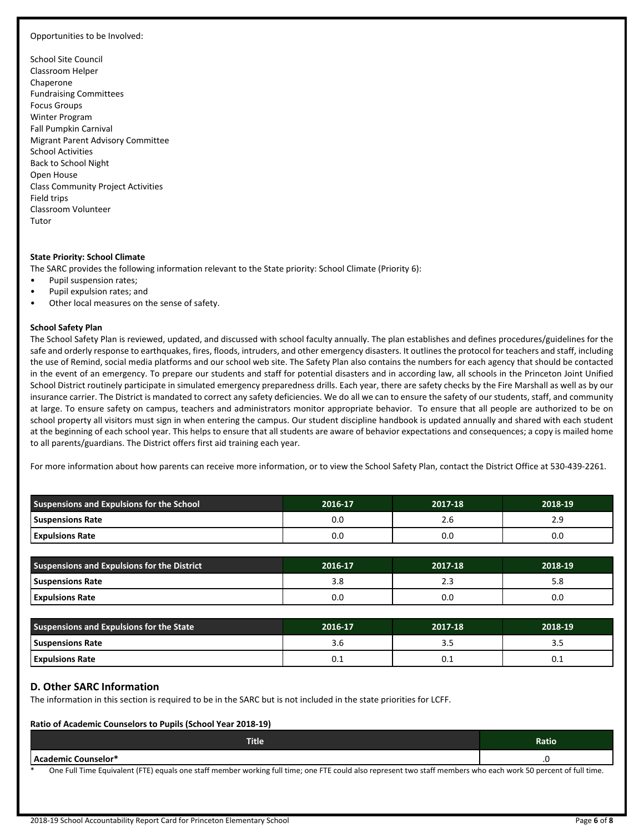#### Opportunities to be Involved:

School Site Council Classroom Helper Chaperone Fundraising Committees Focus Groups Winter Program Fall Pumpkin Carnival Migrant Parent Advisory Committee School Activities Back to School Night Open House Class Community Project Activities Field trips Classroom Volunteer Tutor

#### **State Priority: School Climate**

The SARC provides the following information relevant to the State priority: School Climate (Priority 6):

- Pupil suspension rates;
- Pupil expulsion rates; and
- Other local measures on the sense of safety.

#### **School Safety Plan**

The School Safety Plan is reviewed, updated, and discussed with school faculty annually. The plan establishes and defines procedures/guidelines for the safe and orderly response to earthquakes, fires, floods, intruders, and other emergency disasters. It outlines the protocol for teachers and staff, including the use of Remind, social media platforms and our school web site. The Safety Plan also contains the numbers for each agency that should be contacted in the event of an emergency. To prepare our students and staff for potential disasters and in according law, all schools in the Princeton Joint Unified School District routinely participate in simulated emergency preparedness drills. Each year, there are safety checks by the Fire Marshall as well as by our insurance carrier. The District is mandated to correct any safety deficiencies. We do all we can to ensure the safety of our students, staff, and community at large. To ensure safety on campus, teachers and administrators monitor appropriate behavior. To ensure that all people are authorized to be on school property all visitors must sign in when entering the campus. Our student discipline handbook is updated annually and shared with each student at the beginning of each school year. This helps to ensure that all students are aware of behavior expectations and consequences; a copy is mailed home to all parents/guardians. The District offers first aid training each year.

For more information about how parents can receive more information, or to view the School Safety Plan, contact the District Office at 530-439-2261.

| Suspensions and Expulsions for the School | 2016-17 | 2017-18 | 2018-19 |
|-------------------------------------------|---------|---------|---------|
| Suspensions Rate                          | 0.0     | 2.6     | 2.9     |
| <b>Expulsions Rate</b>                    | 0.0     | 0.0     | 0.0     |

| <b>Suspensions and Expulsions for the District</b> | 2016-17 | 2017-18 | 2018-19 |
|----------------------------------------------------|---------|---------|---------|
| Suspensions Rate                                   | 3.8     | د . ک   | o.c     |
| <b>Expulsions Rate</b>                             | 0.C     | 0.0     | 0.0     |

| Suspensions and Expulsions for the State | 2016-17 | 2017-18 | 2018-19 |
|------------------------------------------|---------|---------|---------|
| Suspensions Rate                         | 3.b     |         | -       |
| Expulsions Rate                          | v.⊥     | 0.1     | U.I     |

## **D. Other SARC Information**

The information in this section is required to be in the SARC but is not included in the state priorities for LCFF.

#### **Ratio of Academic Counselors to Pupils (School Year 2018-19)**

| Title                                                                                                                                                           | Ratio |
|-----------------------------------------------------------------------------------------------------------------------------------------------------------------|-------|
| l Academic Counselor*                                                                                                                                           |       |
| One Full Time Equivalent (FTE) equals one staff member working full time; one FTE could also represent two staff members who each work 50 percent of full time. |       |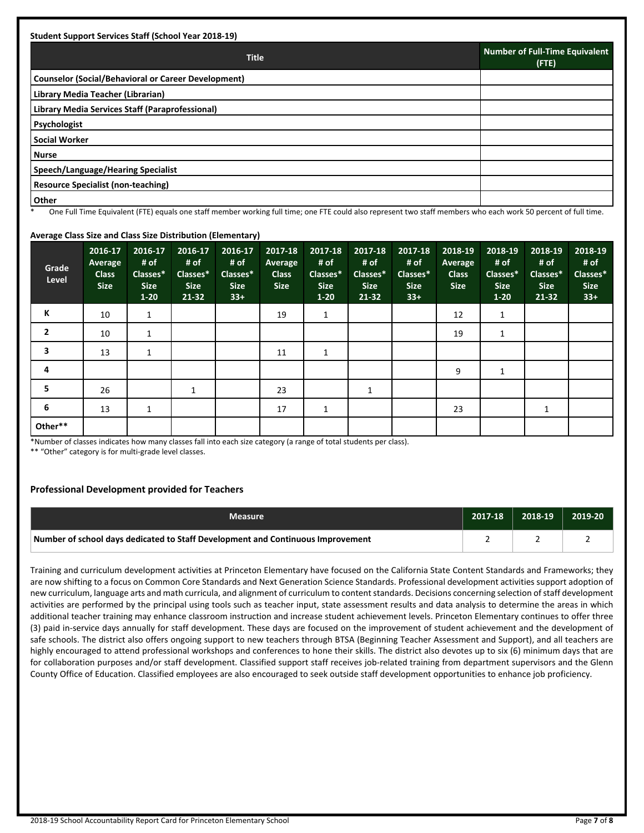| <b>Student Support Services Staff (School Year 2018-19)</b> |                                                |
|-------------------------------------------------------------|------------------------------------------------|
| <b>Title</b>                                                | <b>Number of Full-Time Equivalent</b><br>(FTE) |
| <b>Counselor (Social/Behavioral or Career Development)</b>  |                                                |
| Library Media Teacher (Librarian)                           |                                                |
| Library Media Services Staff (Paraprofessional)             |                                                |
| Psychologist                                                |                                                |
| <b>Social Worker</b>                                        |                                                |
| <b>Nurse</b>                                                |                                                |
| Speech/Language/Hearing Specialist                          |                                                |
| <b>Resource Specialist (non-teaching)</b>                   |                                                |
| Other                                                       |                                                |

One Full Time Equivalent (FTE) equals one staff member working full time; one FTE could also represent two staff members who each work 50 percent of full time.

#### **Average Class Size and Class Size Distribution (Elementary)**

| Grade<br>Level | 2016-17<br>Average<br><b>Class</b><br><b>Size</b> | 2016-17<br># of<br>Classes*<br><b>Size</b><br>$1 - 20$ | 2016-17<br># of<br>Classes*<br><b>Size</b><br>$21 - 32$ | 2016-17<br># of<br>Classes*<br><b>Size</b><br>$33+$ | 2017-18<br>Average<br><b>Class</b><br><b>Size</b> | 2017-18<br># of<br>Classes*<br><b>Size</b><br>$1 - 20$ | 2017-18<br># of<br>Classes*<br><b>Size</b><br>$21 - 32$ | 2017-18<br># of<br>Classes*<br><b>Size</b><br>$33+$ | 2018-19<br>Average<br><b>Class</b><br><b>Size</b> | 2018-19<br># of<br>Classes*<br><b>Size</b><br>$1-20$ | 2018-19<br># of<br>Classes*<br><b>Size</b><br>$21 - 32$ | 2018-19<br># of<br>Classes*<br><b>Size</b><br>$33+$ |
|----------------|---------------------------------------------------|--------------------------------------------------------|---------------------------------------------------------|-----------------------------------------------------|---------------------------------------------------|--------------------------------------------------------|---------------------------------------------------------|-----------------------------------------------------|---------------------------------------------------|------------------------------------------------------|---------------------------------------------------------|-----------------------------------------------------|
| К              | 10                                                | $\mathbf{1}$                                           |                                                         |                                                     | 19                                                | 1                                                      |                                                         |                                                     | 12                                                | 1                                                    |                                                         |                                                     |
| $\overline{2}$ | 10                                                | 1                                                      |                                                         |                                                     |                                                   |                                                        |                                                         |                                                     | 19                                                | 1                                                    |                                                         |                                                     |
| 3              | 13                                                | 1                                                      |                                                         |                                                     | 11                                                | 1                                                      |                                                         |                                                     |                                                   |                                                      |                                                         |                                                     |
| 4              |                                                   |                                                        |                                                         |                                                     |                                                   |                                                        |                                                         |                                                     | 9                                                 | $\mathbf{1}$                                         |                                                         |                                                     |
| 5              | 26                                                |                                                        | 1                                                       |                                                     | 23                                                |                                                        | 1                                                       |                                                     |                                                   |                                                      |                                                         |                                                     |
| 6              | 13                                                | 1                                                      |                                                         |                                                     | 17                                                | 1                                                      |                                                         |                                                     | 23                                                |                                                      |                                                         |                                                     |
| Other**        |                                                   |                                                        |                                                         |                                                     |                                                   |                                                        |                                                         |                                                     |                                                   |                                                      |                                                         |                                                     |

\*Number of classes indicates how many classes fall into each size category (a range of total students per class).

\*\* "Other" category is for multi-grade level classes.

#### **Professional Development provided for Teachers**

| <b>Measure</b>                                                                  | 2017-18 | 2018-19 | 2019-20 |
|---------------------------------------------------------------------------------|---------|---------|---------|
| Number of school days dedicated to Staff Development and Continuous Improvement |         |         |         |

Training and curriculum development activities at Princeton Elementary have focused on the California State Content Standards and Frameworks; they are now shifting to a focus on Common Core Standards and Next Generation Science Standards. Professional development activities support adoption of new curriculum, language arts and math curricula, and alignment of curriculum to content standards. Decisions concerning selection of staff development activities are performed by the principal using tools such as teacher input, state assessment results and data analysis to determine the areas in which additional teacher training may enhance classroom instruction and increase student achievement levels. Princeton Elementary continues to offer three (3) paid in-service days annually for staff development. These days are focused on the improvement of student achievement and the development of safe schools. The district also offers ongoing support to new teachers through BTSA (Beginning Teacher Assessment and Support), and all teachers are highly encouraged to attend professional workshops and conferences to hone their skills. The district also devotes up to six (6) minimum days that are for collaboration purposes and/or staff development. Classified support staff receives job-related training from department supervisors and the Glenn County Office of Education. Classified employees are also encouraged to seek outside staff development opportunities to enhance job proficiency.